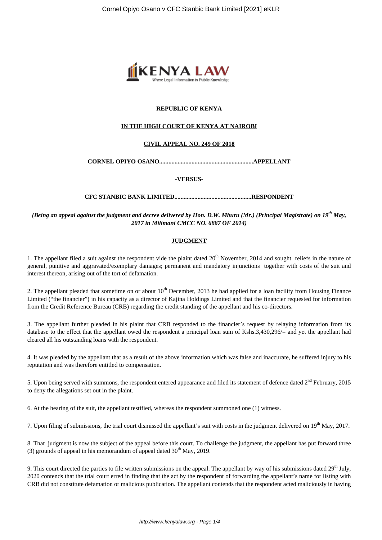

# **REPUBLIC OF KENYA**

## **IN THE HIGH COURT OF KENYA AT NAIROBI**

## **CIVIL APPEAL NO. 249 OF 2018**

**CORNEL OPIYO OSANO.............................................................APPELLANT**

#### **-VERSUS-**

**CFC STANBIC BANK LIMITED..................................................RESPONDENT**

*(Being an appeal against the judgment and decree delivered by Hon. D.W. Mburu (Mr.) (Principal Magistrate) on 19th May, 2017 in Milimani CMCC NO. 6887 OF 2014)*

## **JUDGMENT**

1. The appellant filed a suit against the respondent vide the plaint dated  $20<sup>th</sup>$  November, 2014 and sought reliefs in the nature of general, punitive and aggravated/exemplary damages; permanent and mandatory injunctions together with costs of the suit and interest thereon, arising out of the tort of defamation.

2. The appellant pleaded that sometime on or about  $10<sup>th</sup>$  December, 2013 he had applied for a loan facility from Housing Finance Limited ("the financier") in his capacity as a director of Kajina Holdings Limited and that the financier requested for information from the Credit Reference Bureau (CRB) regarding the credit standing of the appellant and his co-directors.

3. The appellant further pleaded in his plaint that CRB responded to the financier's request by relaying information from its database to the effect that the appellant owed the respondent a principal loan sum of Kshs.3,430,296/= and yet the appellant had cleared all his outstanding loans with the respondent.

4. It was pleaded by the appellant that as a result of the above information which was false and inaccurate, he suffered injury to his reputation and was therefore entitled to compensation.

5. Upon being served with summons, the respondent entered appearance and filed its statement of defence dated  $2<sup>nd</sup>$  February. 2015 to deny the allegations set out in the plaint.

6. At the hearing of the suit, the appellant testified, whereas the respondent summoned one (1) witness.

7. Upon filing of submissions, the trial court dismissed the appellant's suit with costs in the judgment delivered on 19<sup>th</sup> May, 2017.

8. That judgment is now the subject of the appeal before this court. To challenge the judgment, the appellant has put forward three (3) grounds of appeal in his memorandum of appeal dated  $30<sup>th</sup>$  May, 2019.

9. This court directed the parties to file written submissions on the appeal. The appellant by way of his submissions dated 29<sup>th</sup> July, 2020 contends that the trial court erred in finding that the act by the respondent of forwarding the appellant's name for listing with CRB did not constitute defamation or malicious publication. The appellant contends that the respondent acted maliciously in having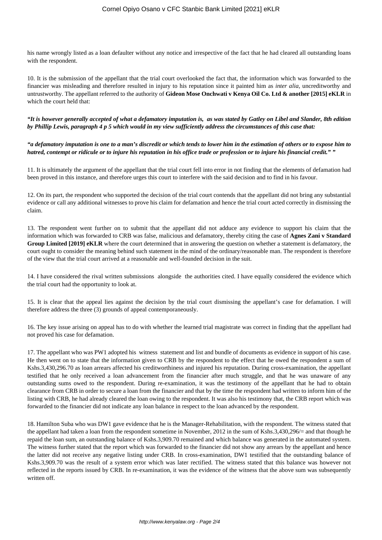his name wrongly listed as a loan defaulter without any notice and irrespective of the fact that he had cleared all outstanding loans with the respondent.

10. It is the submission of the appellant that the trial court overlooked the fact that, the information which was forwarded to the financier was misleading and therefore resulted in injury to his reputation since it painted him as *inter alia*, uncreditworthy and untrustworthy. The appellant referred to the authority of **Gideon Mose Onchwati v Kenya Oil Co. Ltd & another [2015] eKLR** in which the court held that:

*"It is however generally accepted of what a defamatory imputation is, as was stated by Gatley on Libel and Slander, 8th edition by Phillip Lewis, paragraph 4 p 5 which would in my view sufficiently address the circumstances of this case that:*

*"a defamatory imputation is one to a man's discredit or which tends to lower him in the estimation of others or to expose him to hatred, contempt or ridicule or to injure his reputation in his office trade or profession or to injure his financial credit." "* 

11. It is ultimately the argument of the appellant that the trial court fell into error in not finding that the elements of defamation had been proved in this instance, and therefore urges this court to interfere with the said decision and to find in his favour.

12. On its part, the respondent who supported the decision of the trial court contends that the appellant did not bring any substantial evidence or call any additional witnesses to prove his claim for defamation and hence the trial court acted correctly in dismissing the claim.

13. The respondent went further on to submit that the appellant did not adduce any evidence to support his claim that the information which was forwarded to CRB was false, malicious and defamatory, thereby citing the case of **Agnes Zani v Standard Group Limited [2019] eKLR** where the court determined that in answering the question on whether a statement is defamatory, the court ought to consider the meaning behind such statement in the mind of the ordinary/reasonable man. The respondent is therefore of the view that the trial court arrived at a reasonable and well-founded decision in the suit.

14. I have considered the rival written submissions alongside the authorities cited. I have equally considered the evidence which the trial court had the opportunity to look at.

15. It is clear that the appeal lies against the decision by the trial court dismissing the appellant's case for defamation. I will therefore address the three (3) grounds of appeal contemporaneously.

16. The key issue arising on appeal has to do with whether the learned trial magistrate was correct in finding that the appellant had not proved his case for defamation.

17. The appellant who was PW1 adopted his witness statement and list and bundle of documents as evidence in support of his case. He then went on to state that the information given to CRB by the respondent to the effect that he owed the respondent a sum of Kshs.3,430,296.70 as loan arrears affected his creditworthiness and injured his reputation. During cross-examination, the appellant testified that he only received a loan advancement from the financier after much struggle, and that he was unaware of any outstanding sums owed to the respondent. During re-examination, it was the testimony of the appellant that he had to obtain clearance from CRB in order to secure a loan from the financier and that by the time the respondent had written to inform him of the listing with CRB, he had already cleared the loan owing to the respondent. It was also his testimony that, the CRB report which was forwarded to the financier did not indicate any loan balance in respect to the loan advanced by the respondent.

18. Hamilton Suba who was DW1 gave evidence that he is the Manager-Rehabilitation, with the respondent. The witness stated that the appellant had taken a loan from the respondent sometime in November, 2012 in the sum of Kshs.3,430,296/= and that though he repaid the loan sum, an outstanding balance of Kshs.3,909.70 remained and which balance was generated in the automated system. The witness further stated that the report which was forwarded to the financier did not show any arrears by the appellant and hence the latter did not receive any negative listing under CRB. In cross-examination, DW1 testified that the outstanding balance of Kshs.3,909.70 was the result of a system error which was later rectified. The witness stated that this balance was however not reflected in the reports issued by CRB. In re-examination, it was the evidence of the witness that the above sum was subsequently written off.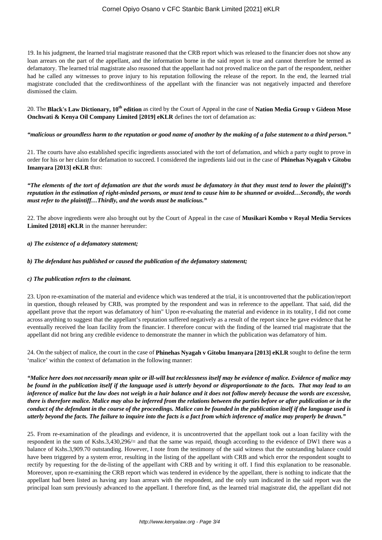19. In his judgment, the learned trial magistrate reasoned that the CRB report which was released to the financier does not show any loan arrears on the part of the appellant, and the information borne in the said report is true and cannot therefore be termed as defamatory. The learned trial magistrate also reasoned that the appellant had not proved malice on the part of the respondent, neither had he called any witnesses to prove injury to his reputation following the release of the report. In the end, the learned trial magistrate concluded that the creditworthiness of the appellant with the financier was not negatively impacted and therefore dismissed the claim.

20. The **Black's Law Dictionary, 10th edition** as cited by the Court of Appeal in the case of **Nation Media Group v Gideon Mose Onchwati & Kenya Oil Company Limited [2019] eKLR** defines the tort of defamation as:

## *"malicious or groundless harm to the reputation or good name of another by the making of a false statement to a third person."*

21. The courts have also established specific ingredients associated with the tort of defamation, and which a party ought to prove in order for his or her claim for defamation to succeed. I considered the ingredients laid out in the case of **Phinehas Nyagah v Gitobu Imanyara [2013] eKLR** thus:

*"The elements of the tort of defamation are that the words must be defamatory in that they must tend to lower the plaintiff's reputation in the estimation of right-minded persons, or must tend to cause him to be shunned or avoided…Secondly, the words must refer to the plaintiff…Thirdly, and the words must be malicious."*

22. The above ingredients were also brought out by the Court of Appeal in the case of **Musikari Kombo v Royal Media Services Limited [2018] eKLR** in the manner hereunder:

## *a) The existence of a defamatory statement;*

## *b) The defendant has published or caused the publication of the defamatory statement;*

## *c) The publication refers to the claimant.*

23. Upon re-examination of the material and evidence which was tendered at the trial, it is uncontroverted that the publication/report in question, though released by CRB, was prompted by the respondent and was in reference to the appellant. That said, did the appellant prove that the report was defamatory of him" Upon re-evaluating the material and evidence in its totality, I did not come across anything to suggest that the appellant's reputation suffered negatively as a result of the report since he gave evidence that he eventually received the loan facility from the financier. I therefore concur with the finding of the learned trial magistrate that the appellant did not bring any credible evidence to demonstrate the manner in which the publication was defamatory of him.

24. On the subject of malice, the court in the case of **Phinehas Nyagah v Gitobu Imanyara [2013] eKLR** sought to define the term 'malice' within the context of defamation in the following manner:

*"Malice here does not necessarily mean spite or ill-will but recklessness itself may be evidence of malice. Evidence of malice may be found in the publication itself if the language used is utterly beyond or disproportionate to the facts. That may lead to an inference of malice but the law does not weigh in a hair balance and it does not follow merely because the words are excessive, there is therefore malice. Malice may also be inferred from the relations between the parties before or after publication or in the conduct of the defendant in the course of the proceedings. Malice can be founded in the publication itself if the language used is utterly beyond the facts. The failure to inquire into the facts is a fact from which inference of malice may properly be drawn."*

25. From re-examination of the pleadings and evidence, it is uncontroverted that the appellant took out a loan facility with the respondent in the sum of Kshs.3,430,296/= and that the same was repaid, though according to the evidence of DW1 there was a balance of Kshs.3,909.70 outstanding. However, I note from the testimony of the said witness that the outstanding balance could have been triggered by a system error, resulting in the listing of the appellant with CRB and which error the respondent sought to rectify by requesting for the de-listing of the appellant with CRB and by writing it off. I find this explanation to be reasonable. Moreover, upon re-examining the CRB report which was tendered in evidence by the appellant, there is nothing to indicate that the appellant had been listed as having any loan arrears with the respondent, and the only sum indicated in the said report was the principal loan sum previously advanced to the appellant. I therefore find, as the learned trial magistrate did, the appellant did not